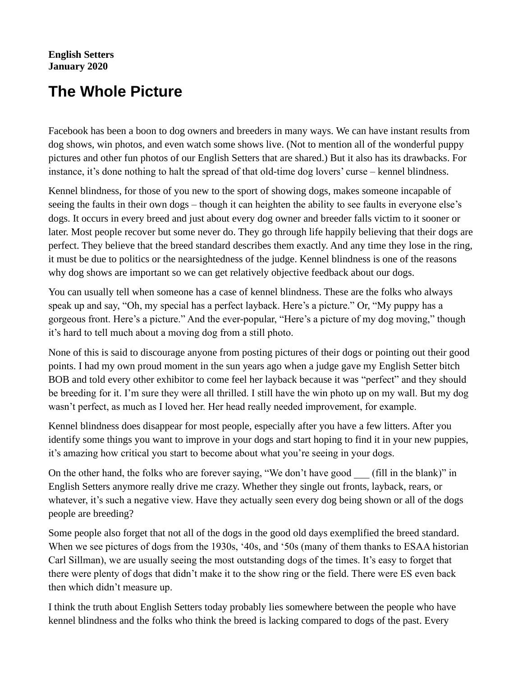## **English Setters January 2020**

## **The Whole Picture**

Facebook has been a boon to dog owners and breeders in many ways. We can have instant results from dog shows, win photos, and even watch some shows live. (Not to mention all of the wonderful puppy pictures and other fun photos of our English Setters that are shared.) But it also has its drawbacks. For instance, it's done nothing to halt the spread of that old-time dog lovers' curse – kennel blindness.

Kennel blindness, for those of you new to the sport of showing dogs, makes someone incapable of seeing the faults in their own dogs – though it can heighten the ability to see faults in everyone else's dogs. It occurs in every breed and just about every dog owner and breeder falls victim to it sooner or later. Most people recover but some never do. They go through life happily believing that their dogs are perfect. They believe that the breed standard describes them exactly. And any time they lose in the ring, it must be due to politics or the nearsightedness of the judge. Kennel blindness is one of the reasons why dog shows are important so we can get relatively objective feedback about our dogs.

You can usually tell when someone has a case of kennel blindness. These are the folks who always speak up and say, "Oh, my special has a perfect layback. Here's a picture." Or, "My puppy has a gorgeous front. Here's a picture." And the ever-popular, "Here's a picture of my dog moving," though it's hard to tell much about a moving dog from a still photo.

None of this is said to discourage anyone from posting pictures of their dogs or pointing out their good points. I had my own proud moment in the sun years ago when a judge gave my English Setter bitch BOB and told every other exhibitor to come feel her layback because it was "perfect" and they should be breeding for it. I'm sure they were all thrilled. I still have the win photo up on my wall. But my dog wasn't perfect, as much as I loved her. Her head really needed improvement, for example.

Kennel blindness does disappear for most people, especially after you have a few litters. After you identify some things you want to improve in your dogs and start hoping to find it in your new puppies, it's amazing how critical you start to become about what you're seeing in your dogs.

On the other hand, the folks who are forever saying, "We don't have good (fill in the blank)" in English Setters anymore really drive me crazy. Whether they single out fronts, layback, rears, or whatever, it's such a negative view. Have they actually seen every dog being shown or all of the dogs people are breeding?

Some people also forget that not all of the dogs in the good old days exemplified the breed standard. When we see pictures of dogs from the 1930s, '40s, and '50s (many of them thanks to ESAA historian Carl Sillman), we are usually seeing the most outstanding dogs of the times. It's easy to forget that there were plenty of dogs that didn't make it to the show ring or the field. There were ES even back then which didn't measure up.

I think the truth about English Setters today probably lies somewhere between the people who have kennel blindness and the folks who think the breed is lacking compared to dogs of the past. Every